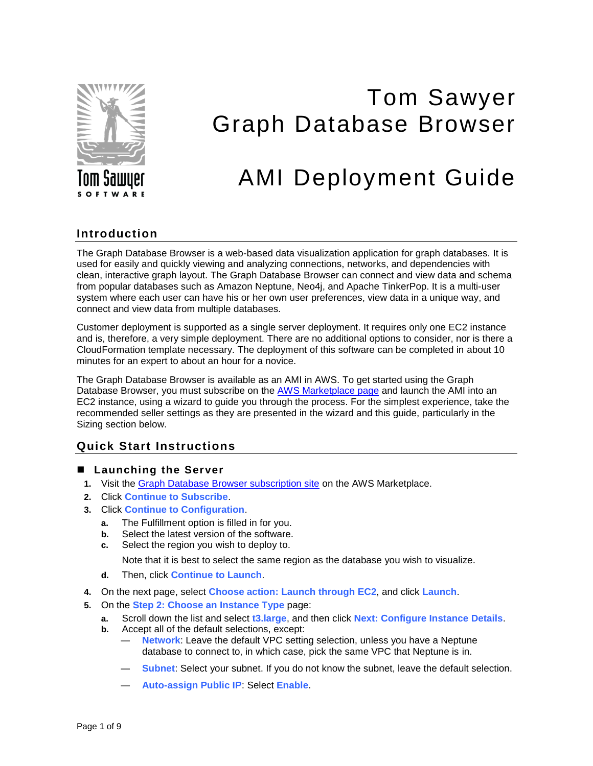

# Tom Sawyer Graph Database Browser

# AMI Deployment Guide

### **Introduction**

The Graph Database Browser is a web-based data visualization application for graph databases. It is used for easily and quickly viewing and analyzing connections, networks, and dependencies with clean, interactive graph layout. The Graph Database Browser can connect and view data and schema from popular databases such as Amazon Neptune, Neo4j, and Apache TinkerPop. It is a multi-user system where each user can have his or her own user preferences, view data in a unique way, and connect and view data from multiple databases.

Customer deployment is supported as a single server deployment. It requires only one EC2 instance and is, therefore, a very simple deployment. There are no additional options to consider, nor is there a CloudFormation template necessary. The deployment of this software can be completed in about 10 minutes for an expert to about an hour for a novice.

The Graph Database Browser is available as an AMI in AWS. To get started using the Graph Database Browser, you must subscribe on the [AWS Marketplace page](https://aws.amazon.com/marketplace/pp/B07JGBY4GJ?qid=1548911220260&sr=0-1&ref_=srh_res_product_title) and launch the AMI into an EC2 instance, using a wizard to guide you through the process. For the simplest experience, take the recommended seller settings as they are presented in the wizard and this guide, particularly in the Sizing section below.

## **Quick Start Instructions**

- Launching the Server
	- **1.** Visit the [Graph Database Browser subscription site](https://aws.amazon.com/marketplace/pp/B07JGBY4GJ?qid=1548911220260&sr=0-1&ref_=srh_res_product_title) on the AWS Marketplace.
	- **2.** Click **Continue to Subscribe**.
	- **3.** Click **Continue to Configuration**.
		- **a.** The Fulfillment option is filled in for you.
		- **b.** Select the latest version of the software.
		- **c.** Select the region you wish to deploy to.

Note that it is best to select the same region as the database you wish to visualize.

- **d.** Then, click **Continue to Launch**.
- **4.** On the next page, select **Choose action: Launch through EC2**, and click **Launch**.
- **5.** On the **Step 2: Choose an Instance Type** page:
	- **a.** Scroll down the list and select **t3.large**, and then click **Next: Configure Instance Details**.
	- **b.** Accept all of the default selections, except:
		- ― **Network**: Leave the default VPC setting selection, unless you have a Neptune database to connect to, in which case, pick the same VPC that Neptune is in.
		- ― **Subnet**: Select your subnet. If you do not know the subnet, leave the default selection.
		- ― **Auto-assign Public IP**: Select **Enable**.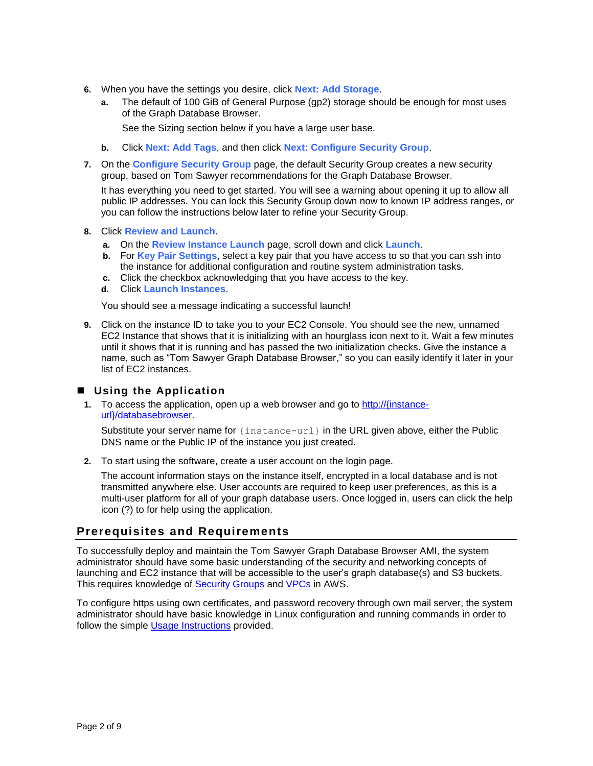- **6.** When you have the settings you desire, click **Next: Add Storage**.
	- **a.** The default of 100 GiB of General Purpose (gp2) storage should be enough for most uses of the Graph Database Browser.

See the Sizing section below if you have a large user base.

- **b.** Click **Next: Add Tags**, and then click **Next: Configure Security Group**.
- **7.** On the **Configure Security Group** page, the default Security Group creates a new security group, based on Tom Sawyer recommendations for the Graph Database Browser.

It has everything you need to get started. You will see a warning about opening it up to allow all public IP addresses. You can lock this Security Group down now to known IP address ranges, or you can follow the instructions below later to refine your Security Group.

- **8.** Click **Review and Launch**.
	- **a.** On the **Review Instance Launch** page, scroll down and click **Launch**.
	- **b.** For **Key Pair Settings**, select a key pair that you have access to so that you can ssh into the instance for additional configuration and routine system administration tasks.
	- **c.** Click the checkbox acknowledging that you have access to the key.
	- **d.** Click **Launch Instances**.

You should see a message indicating a successful launch!

**9.** Click on the instance ID to take you to your EC2 Console. You should see the new, unnamed EC2 Instance that shows that it is initializing with an hourglass icon next to it. Wait a few minutes until it shows that it is running and has passed the two initialization checks. Give the instance a name, such as "Tom Sawyer Graph Database Browser," so you can easily identify it later in your list of EC2 instances.

#### ■ Using the Application

**1.** To access the application, open up a web browser and go to http://{instanceurl}/databasebrowser.

Substitute your server name for {instance-url} in the URL given above, either the Public DNS name or the Public IP of the instance you just created.

**2.** To start using the software, create a user account on the login page.

The account information stays on the instance itself, encrypted in a local database and is not transmitted anywhere else. User accounts are required to keep user preferences, as this is a multi-user platform for all of your graph database users. Once logged in, users can click the help icon (?) to for help using the application.

#### **Prerequisites and Requirements**

To successfully deploy and maintain the Tom Sawyer Graph Database Browser AMI, the system administrator should have some basic understanding of the security and networking concepts of launching and EC2 instance that will be accessible to the user's graph database(s) and S3 buckets. This requires knowledge of [Security Groups](https://docs.aws.amazon.com/vpc/latest/userguide/VPC_SecurityGroups.html) and [VPCs](https://docs.aws.amazon.com/vpc/latest/userguide/what-is-amazon-vpc.html) in AWS.

To configure https using own certificates, and password recovery through own mail server, the system administrator should have basic knowledge in Linux configuration and running commands in order to follow the simple [Usage Instructions](https://aws.amazon.com/marketplace/pp/B07JGBY4GJ?qid=1548809756311&sr=0-1&ref_=srh_res_product_title#pdp-usage) provided.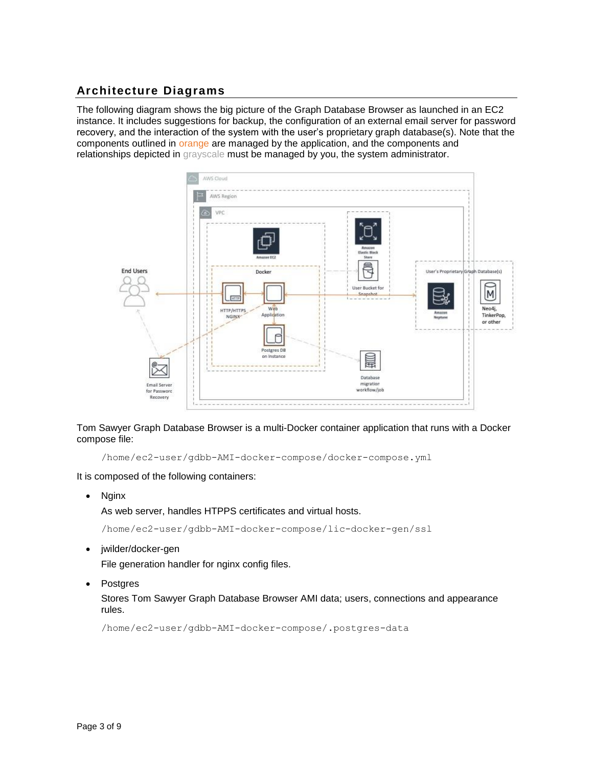# **Architecture Diagrams**

The following diagram shows the big picture of the Graph Database Browser as launched in an EC2 instance. It includes suggestions for backup, the configuration of an external email server for password recovery, and the interaction of the system with the user's proprietary graph database(s). Note that the components outlined in orange are managed by the application, and the components and relationships depicted in grayscale must be managed by you, the system administrator.



Tom Sawyer Graph Database Browser is a multi-Docker container application that runs with a Docker compose file:

/home/ec2-user/gdbb-AMI-docker-compose/docker-compose.yml

It is composed of the following containers:

• Nginx

As web server, handles HTPPS certificates and virtual hosts.

/home/ec2-user/gdbb-AMI-docker-compose/lic-docker-gen/ssl

• jwilder/docker-gen

File generation handler for nginx config files.

• Postgres

Stores Tom Sawyer Graph Database Browser AMI data; users, connections and appearance rules.

/home/ec2-user/gdbb-AMI-docker-compose/.postgres-data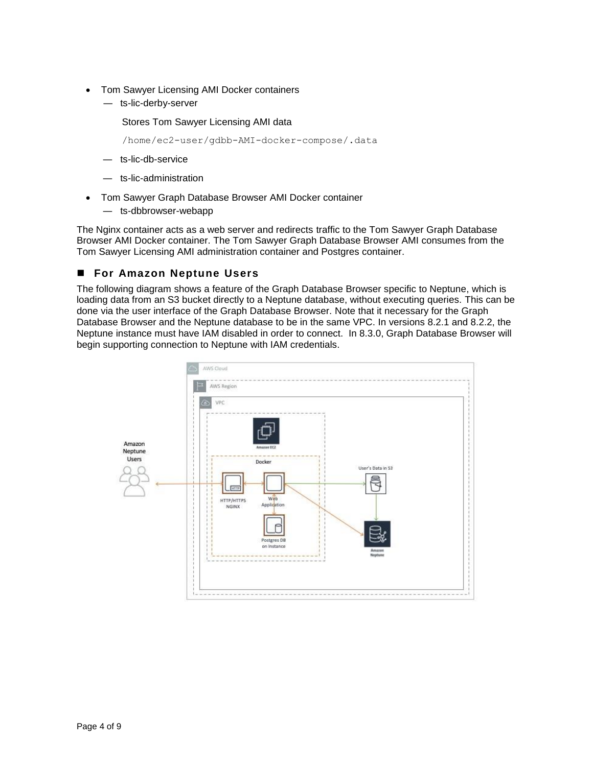- Tom Sawyer Licensing AMI Docker containers
	- ― ts-lic-derby-server

Stores Tom Sawyer Licensing AMI data

/home/ec2-user/gdbb-AMI-docker-compose/.data

- ― ts-lic-db-service
- ― ts-lic-administration
- Tom Sawyer Graph Database Browser AMI Docker container
	- ― ts-dbbrowser-webapp

The Nginx container acts as a web server and redirects traffic to the Tom Sawyer Graph Database Browser AMI Docker container. The Tom Sawyer Graph Database Browser AMI consumes from the Tom Sawyer Licensing AMI administration container and Postgres container.

#### ■ For Amazon Neptune Users

The following diagram shows a feature of the Graph Database Browser specific to Neptune, which is loading data from an S3 bucket directly to a Neptune database, without executing queries. This can be done via the user interface of the Graph Database Browser. Note that it necessary for the Graph Database Browser and the Neptune database to be in the same VPC. In versions 8.2.1 and 8.2.2, the Neptune instance must have IAM disabled in order to connect. In 8.3.0, Graph Database Browser will begin supporting connection to Neptune with IAM credentials.

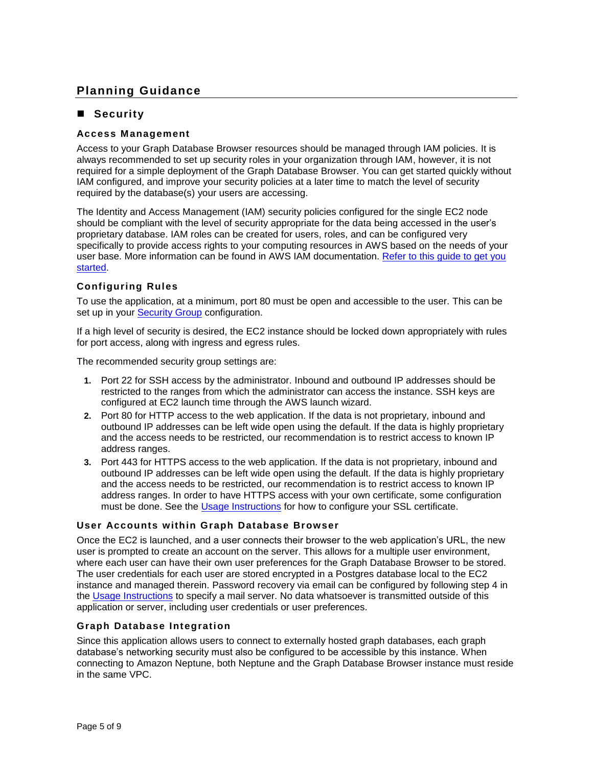# **Planning Guidance**

#### ■ Security

#### **Access Management**

Access to your Graph Database Browser resources should be managed through IAM policies. It is always recommended to set up security roles in your organization through IAM, however, it is not required for a simple deployment of the Graph Database Browser. You can get started quickly without IAM configured, and improve your security policies at a later time to match the level of security required by the database(s) your users are accessing.

The Identity and Access Management (IAM) security policies configured for the single EC2 node should be compliant with the level of security appropriate for the data being accessed in the user's proprietary database. IAM roles can be created for users, roles, and can be configured very specifically to provide access rights to your computing resources in AWS based on the needs of your user base. More information can be found in AWS IAM documentation. [Refer to this guide to get you](https://docs.aws.amazon.com/IAM/latest/UserGuide/getting-set-up.html)  [started.](https://docs.aws.amazon.com/IAM/latest/UserGuide/getting-set-up.html)

#### **Configuring Rules**

To use the application, at a minimum, port 80 must be open and accessible to the user. This can be set up in your [Security Group](https://docs.aws.amazon.com/vpc/latest/userguide/VPC_SecurityGroups.html) configuration.

If a high level of security is desired, the EC2 instance should be locked down appropriately with rules for port access, along with ingress and egress rules.

The recommended security group settings are:

- **1.** Port 22 for SSH access by the administrator. Inbound and outbound IP addresses should be restricted to the ranges from which the administrator can access the instance. SSH keys are configured at EC2 launch time through the AWS launch wizard.
- **2.** Port 80 for HTTP access to the web application. If the data is not proprietary, inbound and outbound IP addresses can be left wide open using the default. If the data is highly proprietary and the access needs to be restricted, our recommendation is to restrict access to known IP address ranges.
- **3.** Port 443 for HTTPS access to the web application. If the data is not proprietary, inbound and outbound IP addresses can be left wide open using the default. If the data is highly proprietary and the access needs to be restricted, our recommendation is to restrict access to known IP address ranges. In order to have HTTPS access with your own certificate, some configuration must be done. See the [Usage Instructions](https://aws.amazon.com/marketplace/pp/B07JGBY4GJ?qid=1548809756311&sr=0-1&ref_=srh_res_product_title#pdp-usage) for how to configure your SSL certificate.

#### **User Accounts within Graph Database Browser**

Once the EC2 is launched, and a user connects their browser to the web application's URL, the new user is prompted to create an account on the server. This allows for a multiple user environment, where each user can have their own user preferences for the Graph Database Browser to be stored. The user credentials for each user are stored encrypted in a Postgres database local to the EC2 instance and managed therein. Password recovery via email can be configured by following step 4 in the [Usage Instructions](https://aws.amazon.com/marketplace/pp/B07JGBY4GJ?qid=1548809756311&sr=0-1&ref_=srh_res_product_title#pdp-usage) to specify a mail server. No data whatsoever is transmitted outside of this application or server, including user credentials or user preferences.

#### **Graph Database Integration**

Since this application allows users to connect to externally hosted graph databases, each graph database's networking security must also be configured to be accessible by this instance. When connecting to Amazon Neptune, both Neptune and the Graph Database Browser instance must reside in the same VPC.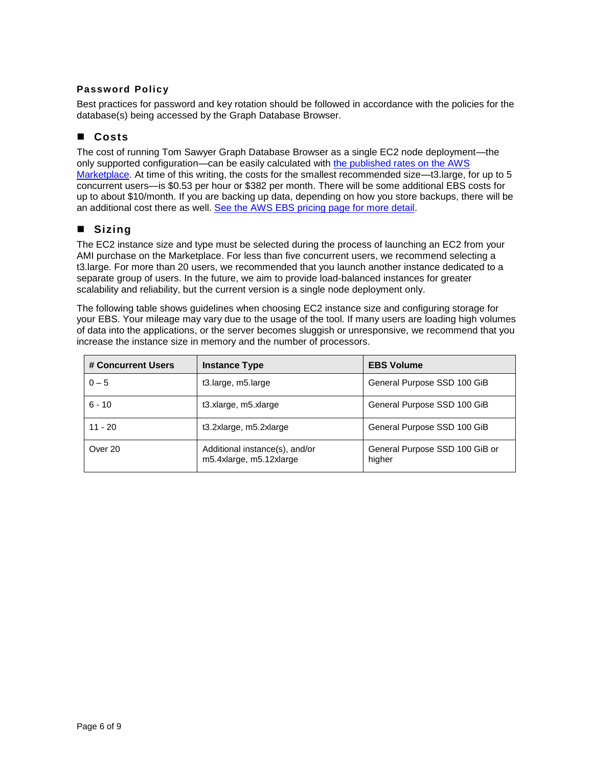#### **Password Policy**

Best practices for password and key rotation should be followed in accordance with the policies for the database(s) being accessed by the Graph Database Browser.

#### ■ Costs

The cost of running Tom Sawyer Graph Database Browser as a single EC2 node deployment—the only supported configuration—can be easily calculated with [the published rates on the AWS](https://aws.amazon.com/marketplace/pp/B07JGBY4GJ?utm_source=website_nav_rightside&utm_medium=webpage&utm_campaign=websitetracking&utm_content=awsmarketplace#pdp-pricing)  [Marketplace.](https://aws.amazon.com/marketplace/pp/B07JGBY4GJ?utm_source=website_nav_rightside&utm_medium=webpage&utm_campaign=websitetracking&utm_content=awsmarketplace#pdp-pricing) At time of this writing, the costs for the smallest recommended size—t3.large, for up to 5 concurrent users—is \$0.53 per hour or \$382 per month. There will be some additional EBS costs for up to about \$10/month. If you are backing up data, depending on how you store backups, there will be an additional cost there as well. [See the AWS EBS pricing page for more detail.](https://aws.amazon.com/ebs/pricing/)

#### ■ Sizing

The EC2 instance size and type must be selected during the process of launching an EC2 from your AMI purchase on the Marketplace. For less than five concurrent users, we recommend selecting a t3.large. For more than 20 users, we recommended that you launch another instance dedicated to a separate group of users. In the future, we aim to provide load-balanced instances for greater scalability and reliability, but the current version is a single node deployment only.

The following table shows guidelines when choosing EC2 instance size and configuring storage for your EBS. Your mileage may vary due to the usage of the tool. If many users are loading high volumes of data into the applications, or the server becomes sluggish or unresponsive, we recommend that you increase the instance size in memory and the number of processors.

| # Concurrent Users | <b>Instance Type</b>                                      | <b>EBS Volume</b>                        |
|--------------------|-----------------------------------------------------------|------------------------------------------|
| $0 - 5$            | t3.large, m5.large                                        | General Purpose SSD 100 GiB              |
| $6 - 10$           | t3.xlarge, m5.xlarge                                      | General Purpose SSD 100 GiB              |
| $11 - 20$          | t3.2xlarge, m5.2xlarge                                    | General Purpose SSD 100 GiB              |
| Over 20            | Additional instance(s), and/or<br>m5.4xlarge, m5.12xlarge | General Purpose SSD 100 GiB or<br>higher |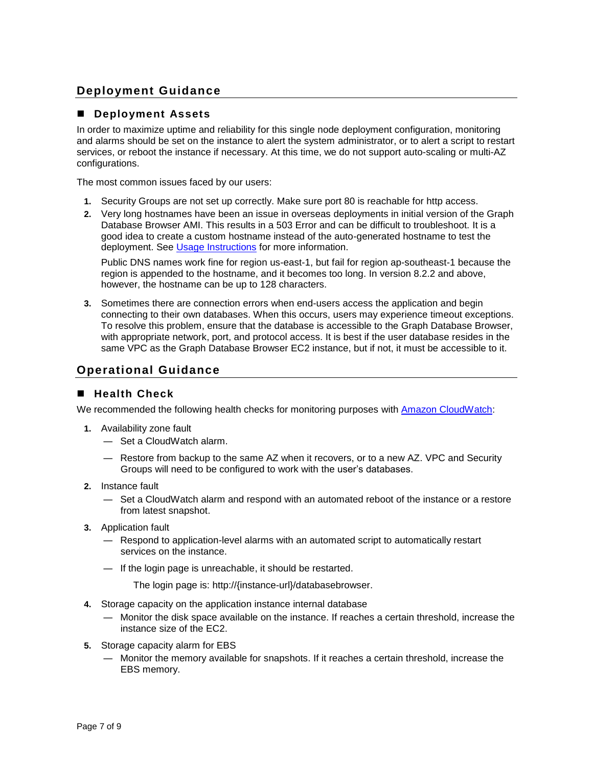# **Deployment Guidance**

#### ◼ **Deployment Assets**

In order to maximize uptime and reliability for this single node deployment configuration, monitoring and alarms should be set on the instance to alert the system administrator, or to alert a script to restart services, or reboot the instance if necessary. At this time, we do not support auto-scaling or multi-AZ configurations.

The most common issues faced by our users:

- **1.** Security Groups are not set up correctly. Make sure port 80 is reachable for http access.
- **2.** Very long hostnames have been an issue in overseas deployments in initial version of the Graph Database Browser AMI. This results in a 503 Error and can be difficult to troubleshoot. It is a good idea to create a custom hostname instead of the auto-generated hostname to test the deployment. See [Usage Instructions](https://aws.amazon.com/marketplace/pp/B07JGBY4GJ?qid=1548809756311&sr=0-1&ref_=srh_res_product_title#pdp-usage) for more information.

Public DNS names work fine for region us-east-1, but fail for region ap-southeast-1 because the region is appended to the hostname, and it becomes too long. In version 8.2.2 and above, however, the hostname can be up to 128 characters.

**3.** Sometimes there are connection errors when end-users access the application and begin connecting to their own databases. When this occurs, users may experience timeout exceptions. To resolve this problem, ensure that the database is accessible to the Graph Database Browser, with appropriate network, port, and protocol access. It is best if the user database resides in the same VPC as the Graph Database Browser EC2 instance, but if not, it must be accessible to it.

#### **Operational Guidance**

#### ■ Health Check

We recommended the following health checks for monitoring purposes with [Amazon CloudWatch:](https://aws.amazon.com/cloudwatch/)

- **1.** Availability zone fault
	- ― Set a CloudWatch alarm.
	- ― Restore from backup to the same AZ when it recovers, or to a new AZ. VPC and Security Groups will need to be configured to work with the user's databases.
- **2.** Instance fault
	- ― Set a CloudWatch alarm and respond with an automated reboot of the instance or a restore from latest snapshot.
- **3.** Application fault
	- ― Respond to application-level alarms with an automated script to automatically restart services on the instance.
	- ― If the login page is unreachable, it should be restarted.

The login page is: http://{instance-url}/databasebrowser.

- **4.** Storage capacity on the application instance internal database
	- ― Monitor the disk space available on the instance. If reaches a certain threshold, increase the instance size of the EC2.
- **5.** Storage capacity alarm for EBS
	- ― Monitor the memory available for snapshots. If it reaches a certain threshold, increase the EBS memory.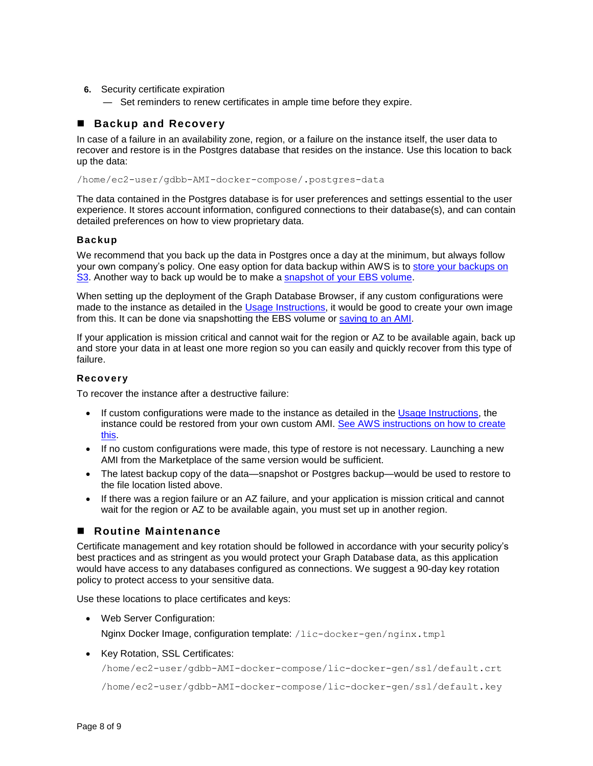- **6.** Security certificate expiration
	- ― Set reminders to renew certificates in ample time before they expire.

#### ■ **Backup and Recovery**

In case of a failure in an availability zone, region, or a failure on the instance itself, the user data to recover and restore is in the Postgres database that resides on the instance. Use this location to back up the data:

/home/ec2-user/gdbb-AMI-docker-compose/.postgres-data

The data contained in the Postgres database is for user preferences and settings essential to the user experience. It stores account information, configured connections to their database(s), and can contain detailed preferences on how to view proprietary data.

#### **Backup**

We recommend that you back up the data in Postgres once a day at the minimum, but always follow your own company's policy. One easy option for data backup within AWS is to store your backups on [S3.](https://aws.amazon.com/getting-started/tutorials/backup-files-to-amazon-s3/) Another way to back up would be to make a [snapshot of your EBS volume.](https://docs.aws.amazon.com/AWSEC2/latest/UserGuide/ebs-creating-snapshot.html)

When setting up the deployment of the Graph Database Browser, if any custom configurations were made to the instance as detailed in the [Usage Instructions,](https://aws.amazon.com/marketplace/pp/B07JGBY4GJ?qid=1548809756311&sr=0-1&ref_=srh_res_product_title#pdp-usage) it would be good to create your own image from this. It can be done via snapshotting the EBS volume or [saving to an AMI.](https://docs.aws.amazon.com/AWSEC2/latest/UserGuide/creating-an-ami-ebs.html)

If your application is mission critical and cannot wait for the region or AZ to be available again, back up and store your data in at least one more region so you can easily and quickly recover from this type of failure.

#### **Recovery**

To recover the instance after a destructive failure:

- If custom configurations were made to the instance as detailed in the [Usage Instructions,](https://aws.amazon.com/marketplace/pp/B07JGBY4GJ?qid=1548809756311&sr=0-1&ref_=srh_res_product_title#pdp-usage) the instance could be restored from your own custom AMI. [See AWS instructions on how to create](https://docs.aws.amazon.com/AWSEC2/latest/UserGuide/creating-an-ami-ebs.html)  [this.](https://docs.aws.amazon.com/AWSEC2/latest/UserGuide/creating-an-ami-ebs.html)
- If no custom configurations were made, this type of restore is not necessary. Launching a new AMI from the Marketplace of the same version would be sufficient.
- The latest backup copy of the data—snapshot or Postgres backup—would be used to restore to the file location listed above.
- If there was a region failure or an AZ failure, and your application is mission critical and cannot wait for the region or AZ to be available again, you must set up in another region.

#### ■ Routine Maintenance

Certificate management and key rotation should be followed in accordance with your security policy's best practices and as stringent as you would protect your Graph Database data, as this application would have access to any databases configured as connections. We suggest a 90-day key rotation policy to protect access to your sensitive data.

Use these locations to place certificates and keys:

• Web Server Configuration:

Nginx Docker Image, configuration template: /lic-docker-gen/nginx.tmpl

• Key Rotation, SSL Certificates:

/home/ec2-user/gdbb-AMI-docker-compose/lic-docker-gen/ssl/default.crt

/home/ec2-user/gdbb-AMI-docker-compose/lic-docker-gen/ssl/default.key